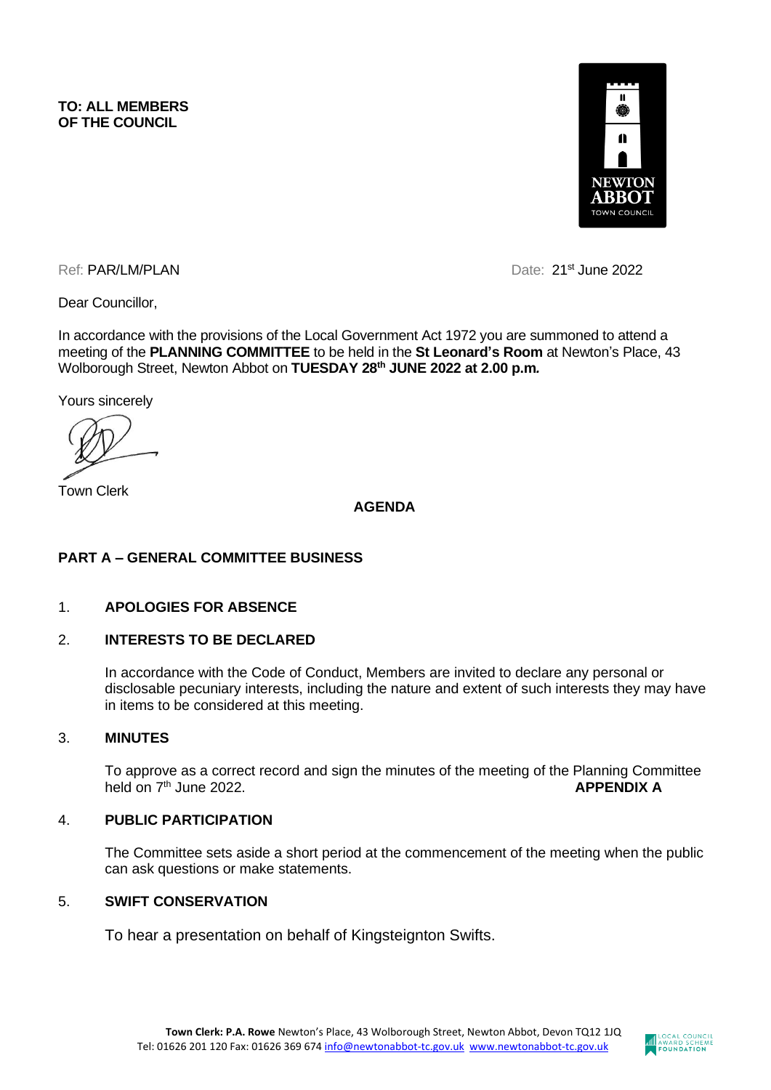

Ref: PAR/LM/PLAN Date: 21<sup>st</sup> June 2022

Dear Councillor,

In accordance with the provisions of the Local Government Act 1972 you are summoned to attend a meeting of the **PLANNING COMMITTEE** to be held in the **St Leonard's Room** at Newton's Place, 43 Wolborough Street, Newton Abbot on **TUESDAY 28 th JUNE 2022 at 2.00 p.m***.*

Yours sincerely

Town Clerk

**AGENDA**

## **PART A – GENERAL COMMITTEE BUSINESS**

#### 1. **APOLOGIES FOR ABSENCE**

### 2. **INTERESTS TO BE DECLARED**

In accordance with the Code of Conduct, Members are invited to declare any personal or disclosable pecuniary interests, including the nature and extent of such interests they may have in items to be considered at this meeting.

#### 3. **MINUTES**

To approve as a correct record and sign the minutes of the meeting of the Planning Committee held on  $7<sup>th</sup>$  June 2022. held on 7<sup>th</sup> June 2022. **APPENDIX A** 

#### 4. **PUBLIC PARTICIPATION**

The Committee sets aside a short period at the commencement of the meeting when the public can ask questions or make statements.

#### 5. **SWIFT CONSERVATION**

To hear a presentation on behalf of Kingsteignton Swifts.

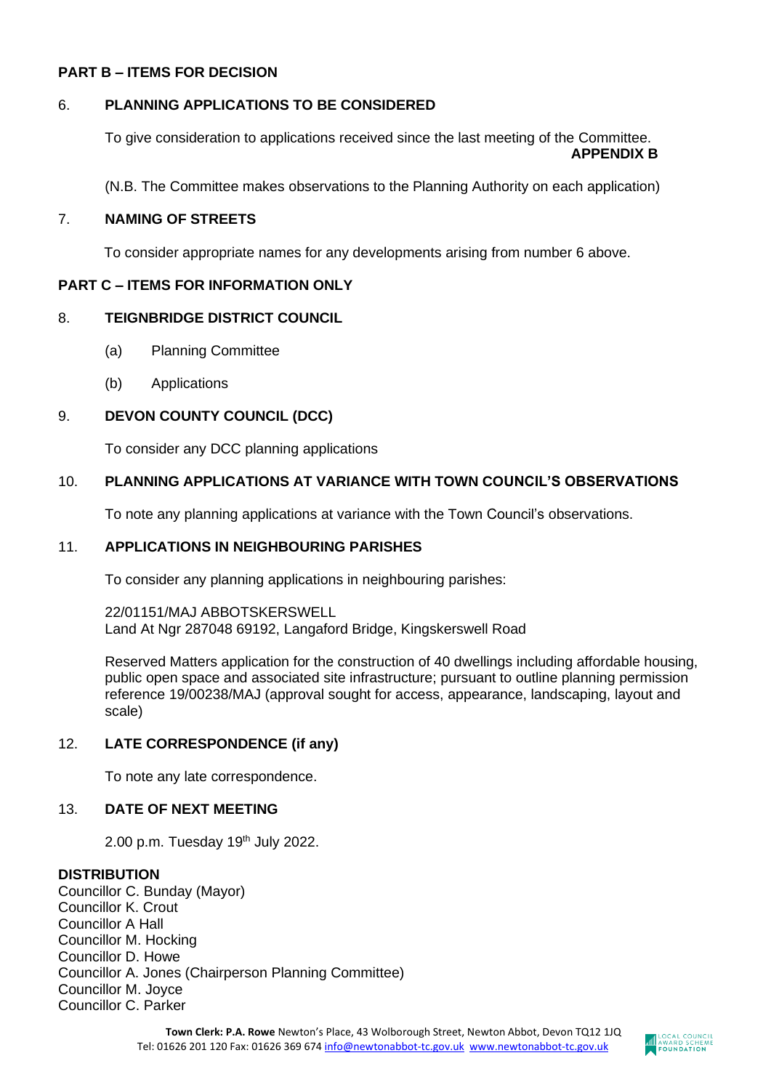### **PART B – ITEMS FOR DECISION**

### 6. **PLANNING APPLICATIONS TO BE CONSIDERED**

To give consideration to applications received since the last meeting of the Committee. **APPENDIX B**

(N.B. The Committee makes observations to the Planning Authority on each application)

#### 7. **NAMING OF STREETS**

To consider appropriate names for any developments arising from number 6 above.

### **PART C – ITEMS FOR INFORMATION ONLY**

### 8. **TEIGNBRIDGE DISTRICT COUNCIL**

- (a) Planning Committee
- (b) Applications

## 9. **DEVON COUNTY COUNCIL (DCC)**

To consider any DCC planning applications

### 10. **PLANNING APPLICATIONS AT VARIANCE WITH TOWN COUNCIL'S OBSERVATIONS**

To note any planning applications at variance with the Town Council's observations.

#### 11. **APPLICATIONS IN NEIGHBOURING PARISHES**

To consider any planning applications in neighbouring parishes:

22/01151/MAJ ABBOTSKERSWELL Land At Ngr 287048 69192, Langaford Bridge, Kingskerswell Road

Reserved Matters application for the construction of 40 dwellings including affordable housing, public open space and associated site infrastructure; pursuant to outline planning permission reference 19/00238/MAJ (approval sought for access, appearance, landscaping, layout and scale)

# 12. **LATE CORRESPONDENCE (if any)**

To note any late correspondence.

## 13. **DATE OF NEXT MEETING**

2.00 p.m. Tuesday 19th July 2022.

#### **DISTRIBUTION**

Councillor C. Bunday (Mayor) Councillor K. Crout Councillor A Hall Councillor M. Hocking Councillor D. Howe Councillor A. Jones (Chairperson Planning Committee) Councillor M. Joyce Councillor C. Parker

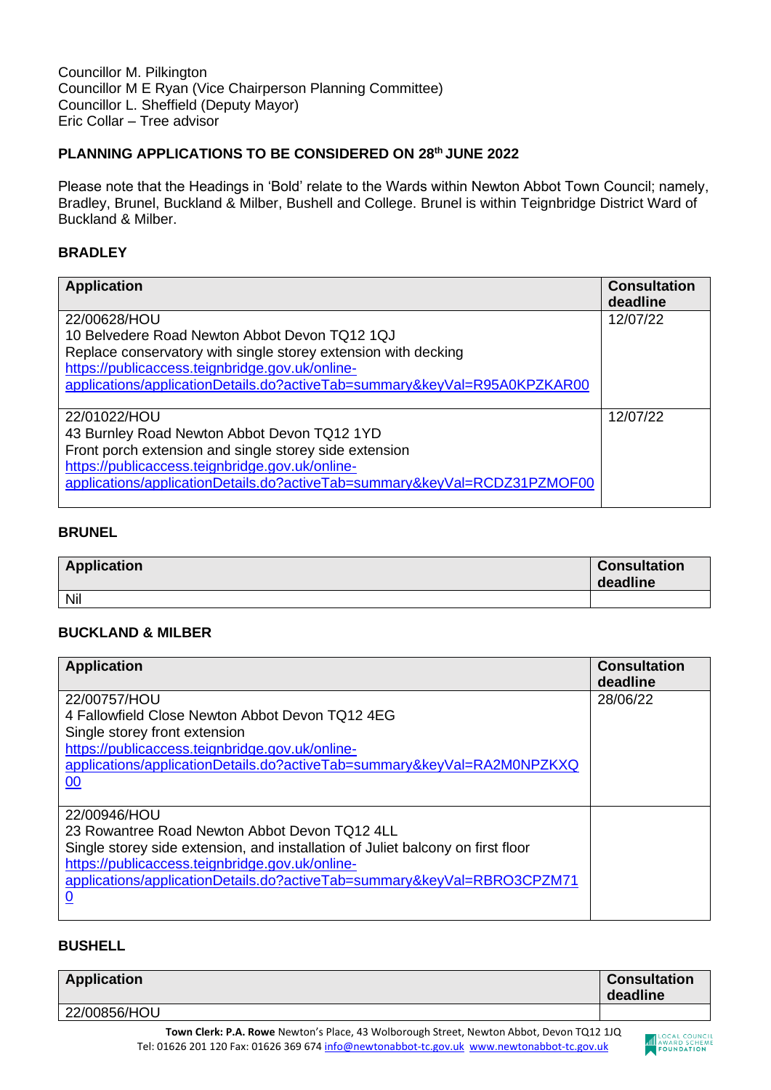Councillor M. Pilkington Councillor M E Ryan (Vice Chairperson Planning Committee) Councillor L. Sheffield (Deputy Mayor) Eric Collar – Tree advisor

### **PLANNING APPLICATIONS TO BE CONSIDERED ON 28th JUNE 2022**

Please note that the Headings in 'Bold' relate to the Wards within Newton Abbot Town Council; namely, Bradley, Brunel, Buckland & Milber, Bushell and College. Brunel is within Teignbridge District Ward of Buckland & Milber.

#### **BRADLEY**

| <b>Application</b>                                                        | <b>Consultation</b><br>deadline |
|---------------------------------------------------------------------------|---------------------------------|
| 22/00628/HOU                                                              | 12/07/22                        |
| 10 Belvedere Road Newton Abbot Devon TQ12 1QJ                             |                                 |
| Replace conservatory with single storey extension with decking            |                                 |
| https://publicaccess.teignbridge.gov.uk/online-                           |                                 |
| applications/applicationDetails.do?activeTab=summary&keyVal=R95A0KPZKAR00 |                                 |
|                                                                           |                                 |
| 22/01022/HOU                                                              | 12/07/22                        |
| 43 Burnley Road Newton Abbot Devon TQ12 1YD                               |                                 |
| Front porch extension and single storey side extension                    |                                 |
| https://publicaccess.teignbridge.gov.uk/online-                           |                                 |
| applications/applicationDetails.do?activeTab=summary&keyVal=RCDZ31PZMOF00 |                                 |
|                                                                           |                                 |

## **BRUNEL**

| <b>Application</b> | <b>Consultation</b><br>deadline |
|--------------------|---------------------------------|
| Nil                |                                 |

### **BUCKLAND & MILBER**

| <b>Application</b>                                                              | <b>Consultation</b><br>deadline |
|---------------------------------------------------------------------------------|---------------------------------|
| 22/00757/HOU                                                                    | 28/06/22                        |
| 4 Fallowfield Close Newton Abbot Devon TQ12 4EG                                 |                                 |
| Single storey front extension                                                   |                                 |
| https://publicaccess.teignbridge.gov.uk/online-                                 |                                 |
| applications/applicationDetails.do?activeTab=summary&keyVal=RA2M0NPZKXQ         |                                 |
| 00                                                                              |                                 |
| 22/00946/HOU                                                                    |                                 |
| 23 Rowantree Road Newton Abbot Devon TQ12 4LL                                   |                                 |
| Single storey side extension, and installation of Juliet balcony on first floor |                                 |
| https://publicaccess.teignbridge.gov.uk/online-                                 |                                 |
| applications/applicationDetails.do?activeTab=summary&keyVal=RBRO3CPZM71         |                                 |
| $\overline{0}$                                                                  |                                 |
|                                                                                 |                                 |

# **BUSHELL**

| <b>Application</b>                                                                                                                                                                            | deadline | <b>Consultation</b>                      |
|-----------------------------------------------------------------------------------------------------------------------------------------------------------------------------------------------|----------|------------------------------------------|
| 22/00856/HOU                                                                                                                                                                                  |          |                                          |
| <b>Town Clerk: P.A. Rowe</b> Newton's Place, 43 Wolborough Street, Newton Abbot, Devon TQ12 1JQ<br>Tel: 01626 201 120 Fax: 01626 369 674 info@newtonabbot-tc.gov.uk www.newtonabbot-tc.gov.uk |          | <b>LOCAL COUNCE</b><br><b>FOUNDATION</b> |